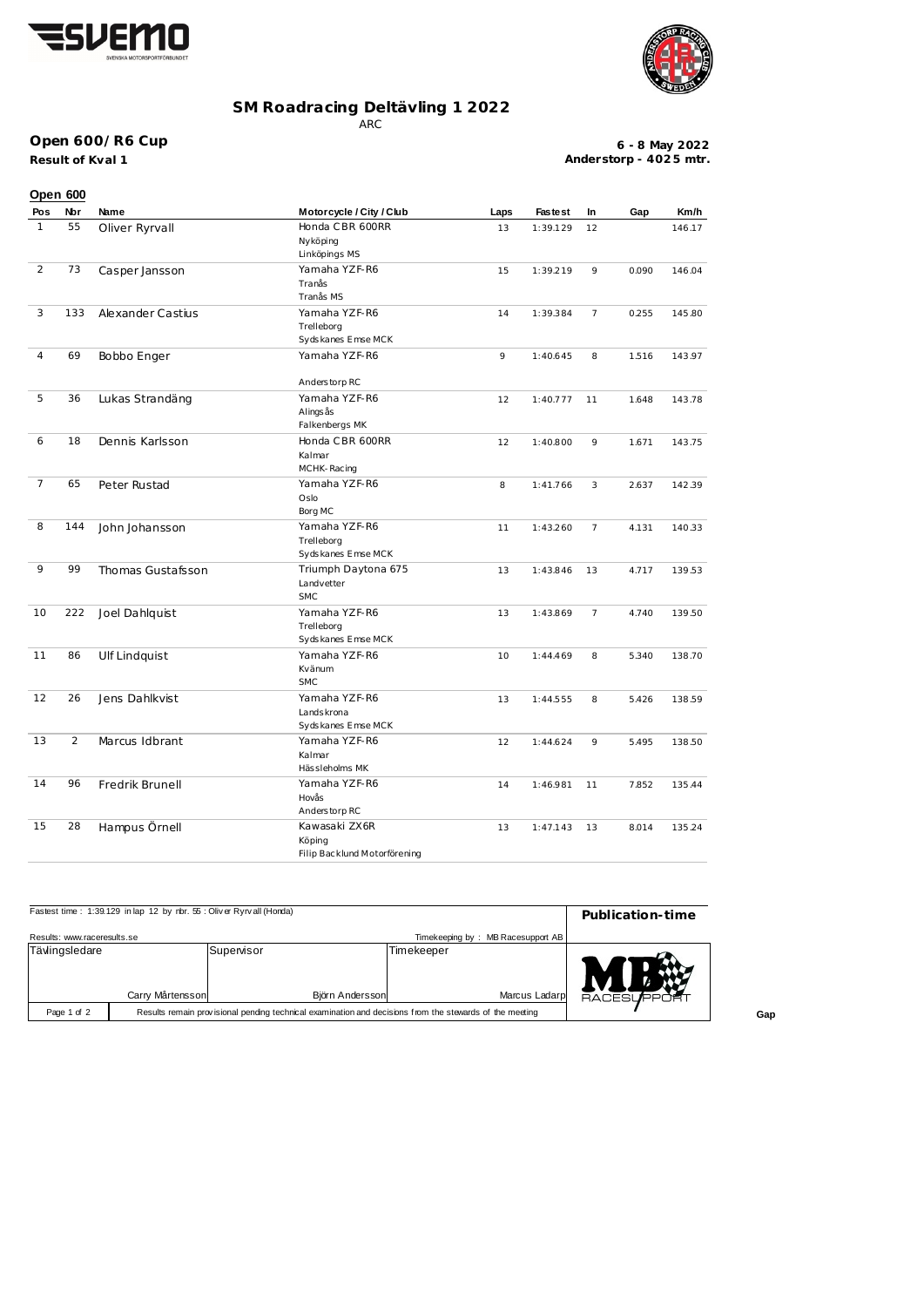



## **SM Roadracing Deltävling 1 2022**

ARC

## **Open 600/R6 Cup**

**Result of Kval 1**

**6 - 8 May 2022 Anderstorp - 402 5 mtr.**

|                | Open 600 |                      |                                                               |      |                |                |       |        |
|----------------|----------|----------------------|---------------------------------------------------------------|------|----------------|----------------|-------|--------|
| Pos            | Nor      | Name                 | Motorcycle / City / Club                                      | Laps | <b>Fastest</b> | In             | Gap   | Km/h   |
| $\mathbf{1}$   | 55       | Oliver Ryrvall       | Honda CBR 600RR<br>Nyköping<br>Linköpings MS                  | 13   | 1:39.129       | 12             |       | 146.17 |
| $\overline{2}$ | 73       | Casper Jansson       | Yamaha YZF-R6<br>Tranås<br>Tranås MS                          | 15   | 1:39.219       | 9              | 0.090 | 146.04 |
| 3              | 133      | Alexander Castius    | Yamaha YZF-R6<br>Trelleborg<br>Sydskanes Emse MCK             | 14   | 1:39.384       | $\overline{7}$ | 0.255 | 145.80 |
| 4              | 69       | Bobbo Enger          | Yamaha YZF-R6                                                 | 9    | 1:40.645       | 8              | 1.516 | 143.97 |
| 5              | 36       | Lukas Strandäng      | Anderstorp RC<br>Yamaha YZF-R6<br>Alings ås<br>Falkenbergs MK | 12   | 1:40.777       | 11             | 1.648 | 143.78 |
| 6              | 18       | Dennis Karlsson      | Honda CBR 600RR<br>Kalmar<br>MCHK-Racing                      | 12   | 1:40.800       | 9              | 1.671 | 143.75 |
| $\overline{7}$ | 65       | Peter Rustad         | Yamaha YZF-R6<br>Oslo<br>Borg MC                              | 8    | 1:41.766       | 3              | 2.637 | 142.39 |
| 8              | 144      | John Johansson       | Yamaha YZF-R6<br>Trelleborg<br>Sydskanes Emse MCK             | 11   | 1:43.260       | $\overline{7}$ | 4.131 | 140.33 |
| 9              | 99       | Thomas Gustafsson    | Triumph Daytona 675<br>Landvetter<br><b>SMC</b>               | 13   | 1:43.846       | 13             | 4.717 | 139.53 |
| 10             | 222      | Joel Dahlquist       | Yamaha YZF-R6<br>Trelleborg<br>Sydskanes Emse MCK             | 13   | 1:43.869       | $\overline{7}$ | 4.740 | 139.50 |
| 11             | 86       | <b>Ulf Lindquist</b> | Yamaha YZF-R6<br>Kvänum<br><b>SMC</b>                         | 10   | 1:44.469       | 8              | 5.340 | 138.70 |
| 12             | 26       | Jens Dahlkvist       | Yamaha YZF-R6<br>Lands krona<br>Sydskanes Emse MCK            | 13   | 1:44.555       | 8              | 5.426 | 138.59 |
| 13             | 2        | Marcus Idbrant       | Yamaha YZF-R6<br>Kalmar<br>Hässleholms MK                     | 12   | 1:44.624       | 9              | 5.495 | 138.50 |
| 14             | 96       | Fredrik Brunell      | Yamaha YZF-R6<br>Hovås<br>Anderstorp RC                       | 14   | 1:46.981       | 11             | 7.852 | 135.44 |
| 15             | 28       | Hampus Örnell        | Kawasaki ZX6R<br>Köping<br>Filip Backlund Motorförening       | 13   | 1:47.143       | 13             | 8.014 | 135.24 |

| Fastest time: 1:39.129 in lap 12 by nbr. 55: Oliver Ryrvall (Honda) | Publication-time                                                                                        |                 |            |                                   |            |
|---------------------------------------------------------------------|---------------------------------------------------------------------------------------------------------|-----------------|------------|-----------------------------------|------------|
| Results: www.raceresults.se                                         |                                                                                                         |                 |            | Timekeeping by: MB Racesupport AB |            |
| Tävlingsledare                                                      |                                                                                                         | Supervisor      | Timekeeper |                                   |            |
|                                                                     |                                                                                                         |                 |            |                                   |            |
|                                                                     | Carry Mårtensson                                                                                        | Björn Andersson |            | Marcus Ladarp                     | RACESLIPPO |
| Page 1 of 2                                                         | Results remain provisional pending technical examination and decisions from the stewards of the meeting |                 |            |                                   |            |

**Gap**